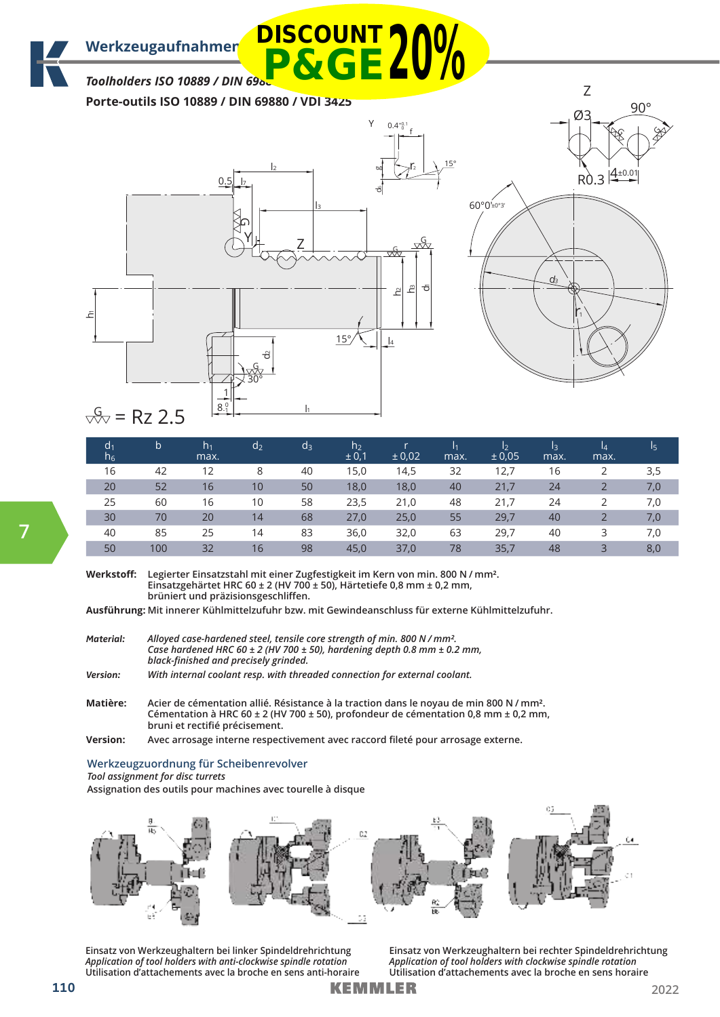Werkzeugaufnahmen **DISCOUNT 300/** 

## *Toolholders ISO 10889 / DIN 698* **P&GE20%**

**Porte-outils ISO 10889 / DIN 69880 / VDI 3425**





# $\frac{G}{\sqrt{2}}$  = Rz 2.5

| d <sub>1</sub><br>$h_6$ | b   | h <sub>1</sub><br>max. | d <sub>2</sub> | $d_3$ | h <sub>2</sub><br>± 0,1 | $\pm 0.02$ | 11<br>max. | $\mathsf{I}_2$<br>± 0.05 | Iз<br>max. | $\overline{a}$<br>max. | 15  |
|-------------------------|-----|------------------------|----------------|-------|-------------------------|------------|------------|--------------------------|------------|------------------------|-----|
| 16                      | 42  | 12                     | 8              | 40    | 15,0                    | 14,5       | 32         | 12,7                     | 16         |                        | 3,5 |
| 20                      | 52  | 16                     | 10             | 50    | 18,0                    | 18,0       | 40         | 21,7                     | 24         |                        | 7,0 |
| 25                      | 60  | 16                     | 10             | 58    | 23,5                    | 21,0       | 48         | 21,7                     | 24         |                        | 7,0 |
| 30                      | 70  | 20                     | 14             | 68    | 27,0                    | 25,0       | 55         | 29,7                     | 40         |                        | 7,0 |
| 40                      | 85  | 25                     | 14             | 83    | 36,0                    | 32,0       | 63         | 29,7                     | 40         | 3                      | 7,0 |
| 50                      | 100 | 32                     | 16             | 98    | 45,0                    | 37,0       | 78         | 35,7                     | 48         | 3                      | 8,0 |

**Werkstoff: Legierter Einsatzstahl mit einer Zugfestigkeit im Kern von min. 800 N / mm². Einsatzgehärtet HRC 60 ± 2 (HV 700 ± 50), Härtetiefe 0,8 mm ± 0,2 mm, brüniert und präzisionsgeschliffen.**

**Ausführung: Mit innerer Kühlmittelzufuhr bzw. mit Gewindeanschluss für externe Kühlmittelzufuhr.**

| Material:       | Alloyed case-hardened steel, tensile core strength of min. 800 N / mm <sup>2</sup> .<br>Case hardened HRC 60 $\pm$ 2 (HV 700 $\pm$ 50), hardening depth 0.8 mm $\pm$ 0.2 mm,<br>black-finished and precisely grinded. |
|-----------------|-----------------------------------------------------------------------------------------------------------------------------------------------------------------------------------------------------------------------|
| <b>Version:</b> | With internal coolant resp. with threaded connection for external coolant.                                                                                                                                            |
| $M - 12$        | Aciardo cámentation allió. Décistance à la trastian dans le noveu de min 00                                                                                                                                           |

**Matière: Acier de cémentation allié. Résistance à la traction dans le noyau de min 800 N / mm². Cémentation à HRC 60 ± 2 (HV 700 ± 50), profondeur de cémentation 0,8 mm ± 0,2 mm, bruni et rectifié précisement.**

**Version: Avec arrosage interne respectivement avec raccord fileté pour arrosage externe.**

#### **Werkzeugzuordnung für Scheibenrevolver** *Tool assignment for disc turrets*

**Assignation des outils pour machines avec tourelle à disque**



**Einsatz von Werkzeughaltern bei linker Spindeldrehrichtung**  *Application of tool holders with anti-clockwise spindle rotation*  **Utilisation d'attachements avec la broche en sens anti-horaire** **Einsatz von Werkzeughaltern bei rechter Spindeldrehrichtung**  *Application of tool holders with clockwise spindle rotation*  **Utilisation d'attachements avec la broche en sens horaire**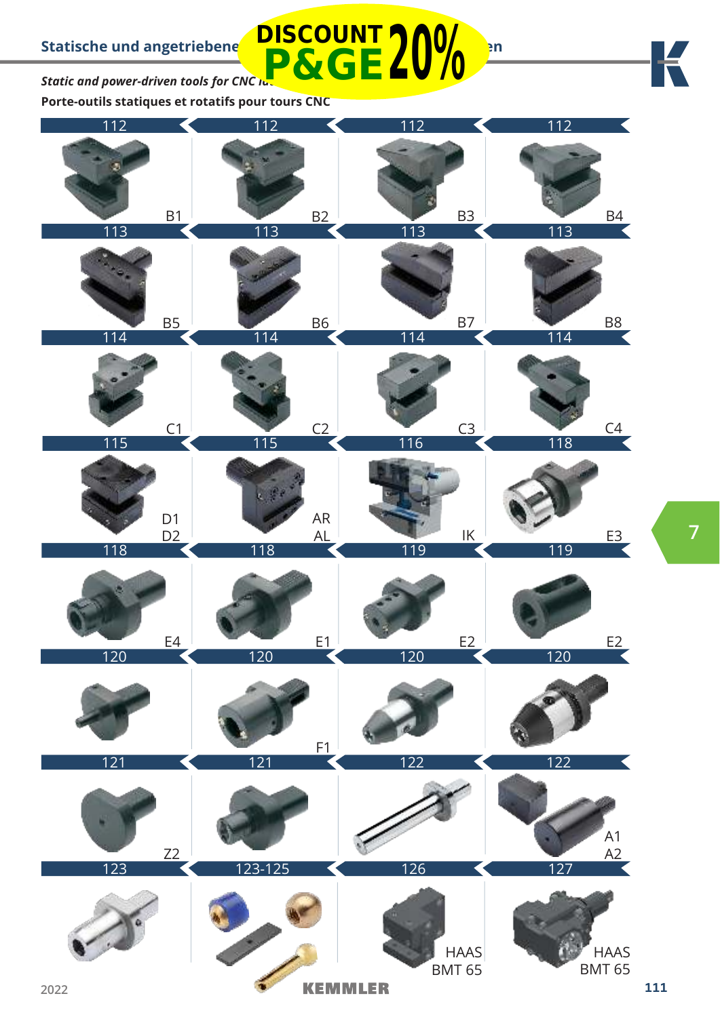**Static and power-driven tools for CNC Iu-P&GE20%**

**Porte-outils statiques et rotatifs pour tours CNC**



К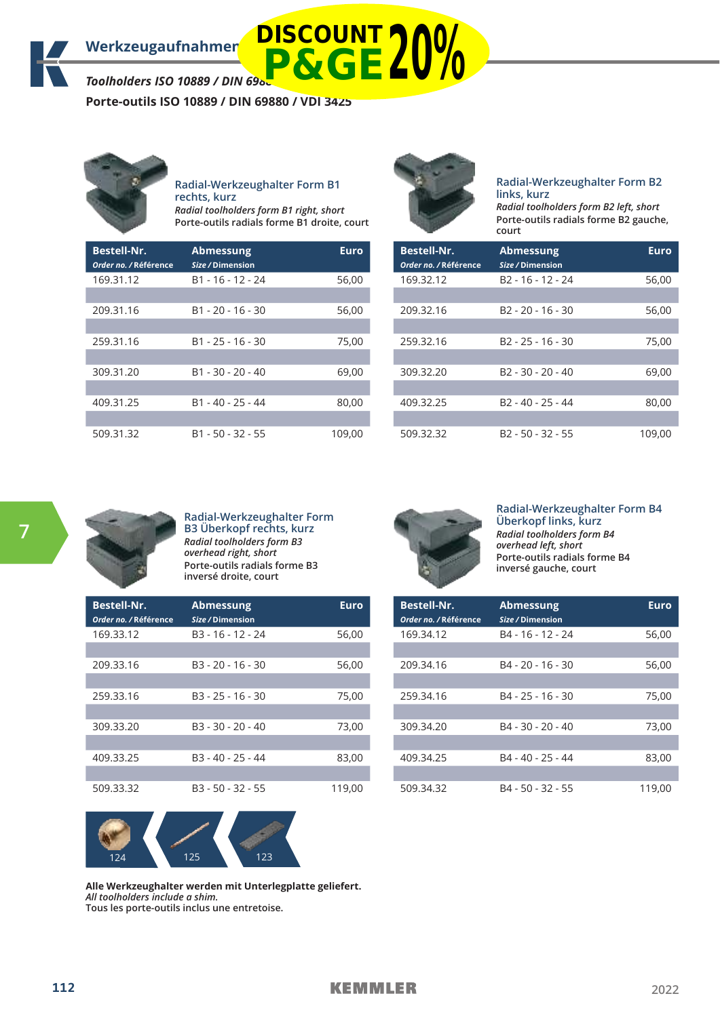**Porte-outils ISO 10889 / DIN 69880 / VDI 3425**



**Radial-Werkzeughalter Form B1 rechts, kurz** *Radial toolholders form B1 right, short* **Porte-outils radials forme B1 droite, court**

| <b>Bestell-Nr.</b><br>Order no. / Référence | <b>Abmessung</b><br>Size / Dimension | <b>Euro</b> |
|---------------------------------------------|--------------------------------------|-------------|
| 169.31.12                                   | B1 - 16 - 12 - 24                    | 56,00       |
| 209.31.16                                   | $B1 - 20 - 16 - 30$                  | 56,00       |
| 259.31.16                                   | $B1 - 25 - 16 - 30$                  | 75,00       |
| 309.31.20                                   | $B1 - 30 - 20 - 40$                  | 69,00       |
| 409.31.25                                   | $B1 - 40 - 25 - 44$                  | 80,00       |
|                                             |                                      |             |
| 509.31.32                                   | $B1 - 50 - 32 - 55$                  | 109,00      |



#### **Radial-Werkzeughalter Form B2 links, kurz** *Radial toolholders form B2 left, short* **Porte-outils radials forme B2 gauche, court**

| <b>Bestell-Nr.</b><br>Order no. / Référence | <b>Abmessung</b><br>Size / Dimension | <b>Euro</b> |
|---------------------------------------------|--------------------------------------|-------------|
| 169.32.12                                   | B <sub>2</sub> - 16 - 12 - 24        | 56,00       |
| 209.32.16                                   | $B2 - 20 - 16 - 30$                  | 56,00       |
|                                             |                                      |             |
| 259.32.16                                   | $B2 - 25 - 16 - 30$                  | 75,00       |
| 309.32.20                                   | $B2 - 30 - 20 - 40$                  |             |
|                                             |                                      | 69,00       |
| 409.32.25                                   | B <sub>2</sub> - 40 - 25 - 44        | 80,00       |
|                                             |                                      |             |
| 509.32.32                                   | B <sub>2</sub> - 50 - 32 - 55        | 109,00      |



**Radial-Werkzeughalter Form B3 Überkopf rechts, kurz** *Radial toolholders form B3 overhead right, short* **Porte-outils radials forme B3 inversé droite, court**

| <b>Bestell-Nr.</b><br>Order no. / Référence | <b>Abmessung</b><br>Size / Dimension | Euro   |
|---------------------------------------------|--------------------------------------|--------|
| 169.33.12                                   | $B3 - 16 - 12 - 24$                  | 56,00  |
|                                             |                                      |        |
| 209.33.16                                   | $B3 - 20 - 16 - 30$                  | 56,00  |
|                                             |                                      |        |
| 259.33.16                                   | $B3 - 25 - 16 - 30$                  | 75,00  |
|                                             |                                      |        |
| 309.33.20                                   | B3 - 30 - 20 - 40                    | 73,00  |
|                                             |                                      |        |
| 409.33.25                                   | $B3 - 40 - 25 - 44$                  | 83,00  |
|                                             |                                      |        |
| 509.33.32                                   | B3 - 50 - 32 - 55                    | 119,00 |



#### **Radial-Werkzeughalter Form B4 Überkopf links, kurz** *Radial toolholders form B4 overhead left, short*

**Porte-outils radials forme B4 inversé gauche, court**

| <b>Bestell-Nr.</b><br>Order no. / Référence | <b>Abmessung</b><br>Size / Dimension | Euro   |
|---------------------------------------------|--------------------------------------|--------|
| 169.34.12                                   | B4 - 16 - 12 - 24                    | 56,00  |
|                                             |                                      |        |
| 209.34.16                                   | B4 - 20 - 16 - 30                    | 56,00  |
|                                             |                                      |        |
| 259.34.16                                   | $B4 - 25 - 16 - 30$                  | 75,00  |
|                                             |                                      |        |
| 309.34.20                                   | B4 - 30 - 20 - 40                    | 73,00  |
|                                             |                                      |        |
| 409.34.25                                   | B4 - 40 - 25 - 44                    | 83,00  |
|                                             |                                      |        |
| 509.34.32                                   | B4 - 50 - 32 - 55                    | 119.00 |



**Alle Werkzeughalter werden mit Unterlegplatte geliefert.**  *All toolholders include a shim.*  **Tous les porte-outils inclus une entretoise.**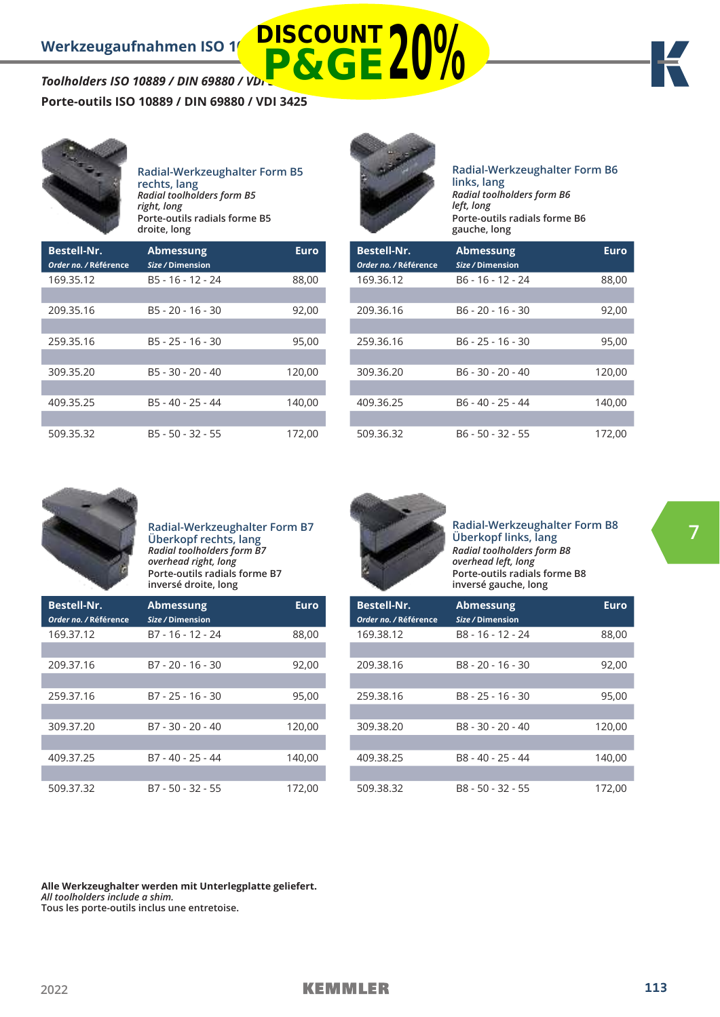### **Porte-outils ISO 10889 / DIN 69880 / VDI 3425**



#### **Radial-Werkzeughalter Form B5 rechts, lang**  *Radial toolholders form B5 right, long* **Porte-outils radials forme B5**

|                                             | droite, long                         |             |
|---------------------------------------------|--------------------------------------|-------------|
| <b>Bestell-Nr.</b><br>Order no. / Référence | <b>Abmessung</b><br>Size / Dimension | <b>Euro</b> |
| 169.35.12                                   | B5 - 16 - 12 - 24                    | 88,00       |
| 209.35.16                                   | $B5 - 20 - 16 - 30$                  | 92,00       |
| 259.35.16                                   | $B5 - 25 - 16 - 30$                  | 95,00       |
| 309.35.20                                   | B5 - 30 - 20 - 40                    | 120,00      |
| 409.35.25                                   | B5 - 40 - 25 - 44                    | 140,00      |
| 509.35.32                                   | B5 - 50 - 32 - 55                    | 172,00      |



**DISCOUNT**

#### **Radial-Werkzeughalter Form B6 links, lang** *Radial toolholders form B6 left, long* **Porte-outils radials forme B6 gauche, long**

| <b>Bestell-Nr.</b><br>Order no. / Référence | <b>Abmessung</b><br>Size / Dimension | Euro   |
|---------------------------------------------|--------------------------------------|--------|
| 169.36.12                                   | B6 - 16 - 12 - 24                    | 88,00  |
|                                             |                                      |        |
| 209.36.16                                   | B6 - 20 - 16 - 30                    | 92,00  |
|                                             |                                      |        |
| 259.36.16                                   | B6 - 25 - 16 - 30                    | 95,00  |
|                                             |                                      |        |
| 309.36.20                                   | B6 - 30 - 20 - 40                    | 120,00 |
|                                             |                                      |        |
| 409.36.25                                   | B <sub>6</sub> - 40 - 25 - 44        | 140,00 |
|                                             |                                      |        |
| 509.36.32                                   | B6 - 50 - 32 - 55                    | 172,00 |



I.

П

**Radial-Werkzeughalter Form B7 Überkopf rechts, lang**  *Radial toolholders form B7 overhead right, long* **Porte-outils radials forme B7 inversé droite, long**

| <b>Bestell-Nr.</b><br>Order no. / Référence | <b>Abmessung</b><br>Size / Dimension | Euro   |
|---------------------------------------------|--------------------------------------|--------|
| 169.37.12                                   | B7 - 16 - 12 - 24                    | 88,00  |
|                                             |                                      |        |
| 209.37.16                                   | $B7 - 20 - 16 - 30$                  | 92,00  |
|                                             |                                      |        |
| 259.37.16                                   | B7 - 25 - 16 - 30                    | 95,00  |
|                                             |                                      |        |
| 309.37.20                                   | B7 - 30 - 20 - 40                    | 120,00 |
|                                             |                                      |        |
| 409.37.25                                   | $B7 - 40 - 25 - 44$                  | 140,00 |
|                                             |                                      |        |
| 509.37.32                                   | B7 - 50 - 32 - 55                    | 172,00 |



**Radial-Werkzeughalter Form B8 Überkopf links, lang** *Radial toolholders form B8 overhead left, long* **Porte-outils radials forme B8 inversé gauche, long**

| <b>Bestell-Nr.</b>    | <b>Abmessung</b>  | Euro   |
|-----------------------|-------------------|--------|
| Order no. / Référence | Size / Dimension  |        |
| 169.38.12             | B8 - 16 - 12 - 24 | 88,00  |
|                       |                   |        |
| 209.38.16             | B8 - 20 - 16 - 30 | 92,00  |
|                       |                   |        |
| 259.38.16             | B8 - 25 - 16 - 30 | 95,00  |
|                       |                   |        |
| 309.38.20             | B8 - 30 - 20 - 40 | 120,00 |
|                       |                   |        |
| 409.38.25             | B8 - 40 - 25 - 44 | 140,00 |
|                       |                   |        |
| 509.38.32             | B8 - 50 - 32 - 55 | 172,00 |

**Alle Werkzeughalter werden mit Unterlegplatte geliefert.**  *All toolholders include a shim.* 

**Tous les porte-outils inclus une entretoise.**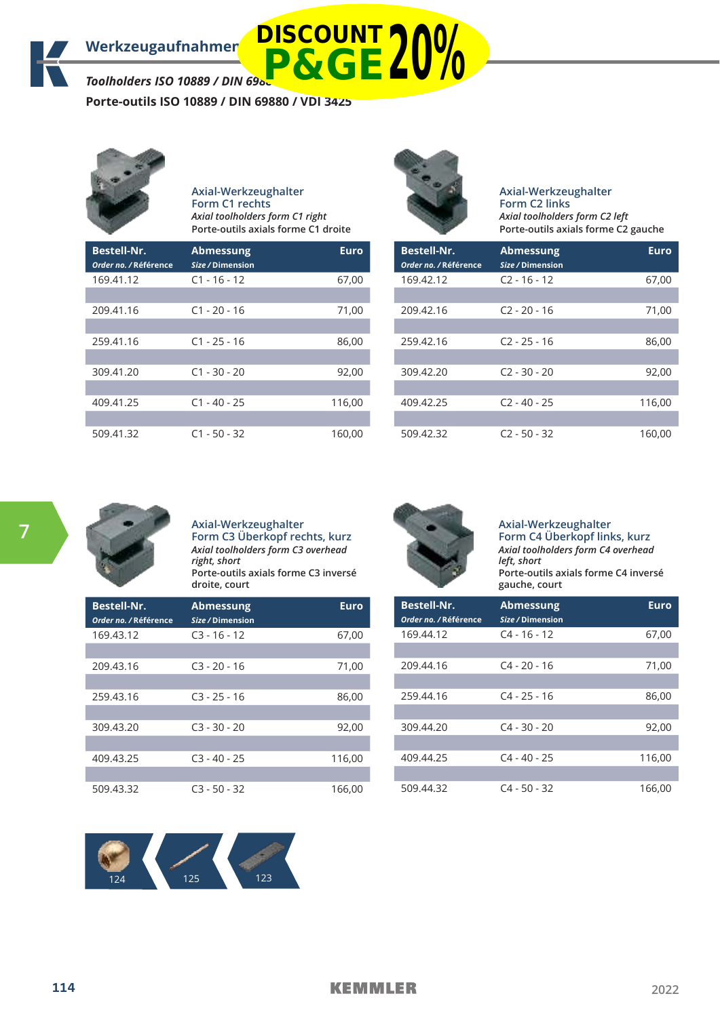**Porte-outils ISO 10889 / DIN 69880 / VDI 3425**



#### **Axial-Werkzeughalter Form C1 rechts** *Axial toolholders form C1 right* **Porte-outils axials forme C1 droite**

| <b>Bestell-Nr.</b><br>Order no. / Référence | <b>Abmessung</b><br>Size / Dimension | <b>Euro</b> |
|---------------------------------------------|--------------------------------------|-------------|
| 169.41.12                                   | $C1 - 16 - 12$                       | 67,00       |
|                                             |                                      |             |
| 209.41.16                                   | $C1 - 20 - 16$                       | 71,00       |
|                                             |                                      |             |
| 259.41.16                                   | $C1 - 25 - 16$                       | 86,00       |
|                                             |                                      |             |
| 309.41.20                                   | $C1 - 30 - 20$                       | 92,00       |
|                                             |                                      |             |
| 409.41.25                                   | $C1 - 40 - 25$                       | 116,00      |
|                                             |                                      |             |
| 509.41.32                                   | $C1 - 50 - 32$                       | 160,00      |



**Axial-Werkzeughalter Form C2 links** *Axial toolholders form C2 left* **Porte-outils axials forme C2 gauche**

| <b>Bestell-Nr.</b><br>Order no. / Référence | <b>Abmessung</b><br>Size / Dimension | <b>Euro</b> |
|---------------------------------------------|--------------------------------------|-------------|
| 169.42.12                                   | $C2 - 16 - 12$                       | 67,00       |
|                                             |                                      |             |
| 209.42.16                                   | $C2 - 20 - 16$                       | 71,00       |
|                                             |                                      |             |
| 259.42.16                                   | $C2 - 25 - 16$                       | 86,00       |
|                                             |                                      |             |
| 309.42.20                                   | $C2 - 30 - 20$                       | 92,00       |
|                                             |                                      |             |
| 409.42.25                                   | $C2 - 40 - 25$                       | 116,00      |
|                                             |                                      |             |
| 509.42.32                                   | $C2 - 50 - 32$                       | 160,00      |



**Axial-Werkzeughalter Form C3 Überkopf rechts, kurz** *Axial toolholders form C3 overhead right, short* **Porte-outils axials forme C3 inversé droite, court**

| <b>Bestell-Nr.</b><br>Order no. / Référence | <b>Abmessung</b><br>Size / Dimension | <b>Euro</b> |
|---------------------------------------------|--------------------------------------|-------------|
| 169.43.12                                   | $C3 - 16 - 12$                       | 67,00       |
|                                             |                                      |             |
| 209.43.16                                   | $C3 - 20 - 16$                       | 71,00       |
|                                             |                                      |             |
| 259.43.16                                   | $C3 - 25 - 16$                       | 86,00       |
|                                             |                                      |             |
| 309.43.20                                   | $C3 - 30 - 20$                       | 92,00       |
|                                             |                                      |             |
| 409.43.25                                   | $C3 - 40 - 25$                       | 116,00      |
|                                             |                                      |             |
| 509.43.32                                   | $C3 - 50 - 32$                       | 166,00      |



**Axial-Werkzeughalter Form C4 Überkopf links, kurz** *Axial toolholders form C4 overhead left, short* **Porte-outils axials forme C4 inversé gauche, court**

| <b>Bestell-Nr.</b><br>Order no. / Référence | <b>Abmessung</b><br>Size / Dimension | Euro   |
|---------------------------------------------|--------------------------------------|--------|
| 169.44.12                                   | $C4 - 16 - 12$                       | 67,00  |
|                                             |                                      |        |
| 209.44.16                                   | $C4 - 20 - 16$                       | 71,00  |
|                                             |                                      |        |
| 259.44.16                                   | $C4 - 25 - 16$                       | 86,00  |
| 309.44.20                                   | $C4 - 30 - 20$                       | 92,00  |
|                                             |                                      |        |
| 409.44.25                                   | $C4 - 40 - 25$                       | 116.00 |
|                                             |                                      |        |
| 509.44.32                                   | $C4 - 50 - 32$                       | 166,00 |

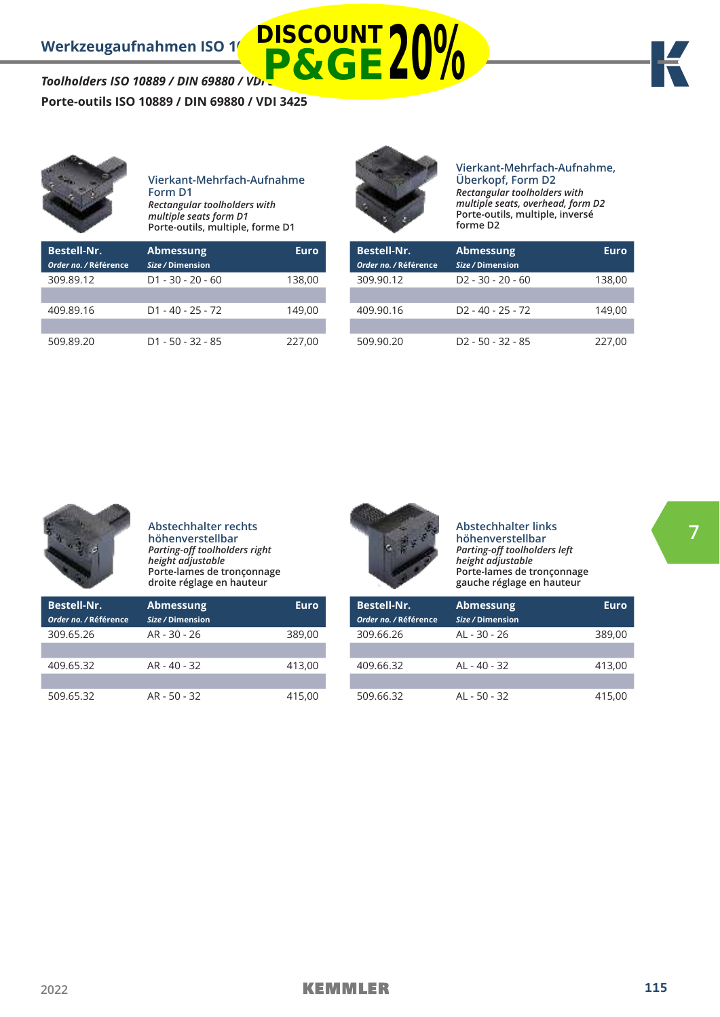### **Porte-outils ISO 10889 / DIN 69880 / VDI 3425**



509.89.20 D1 - 50 - 32 - 85 227,00



**DISCOUNT**

#### **Vierkant-Mehrfach-Aufnahme, Überkopf, Form D2** *Rectangular toolholders with multiple seats, overhead, form D2*  **Porte-outils, multiple, inversé**

| <b>Bestell-Nr.</b><br>Order no. / Référence | <b>Abmessung</b><br>Size / Dimension | Euro   |
|---------------------------------------------|--------------------------------------|--------|
| 309.90.12                                   | $D2 - 30 - 20 - 60$                  | 138,00 |
|                                             |                                      |        |
| 409.90.16                                   | $D2 - 40 - 25 - 72$                  | 149.00 |
|                                             |                                      |        |
| 509.90.20                                   | $D2 - 50 - 32 - 85$                  | 227.00 |

**forme D2**



**Abstechhalter rechts höhenverstellbar**  *Parting-off toolholders right height adjustable*  **Porte-lames de tronçonnage droite réglage en hauteur**

| <b>Bestell-Nr.</b>    | <b>Abmessung</b> | Euro   |
|-----------------------|------------------|--------|
| Order no. / Référence | Size / Dimension |        |
| 309.65.26             | AR - 30 - 26     | 389,00 |
|                       |                  |        |
| 409.65.32             | AR - 40 - 32     | 413,00 |
|                       |                  |        |
| 509.65.32             | $AR - 50 - 32$   | 415.00 |



**Abstechhalter links höhenverstellbar**  *Parting-off toolholders left height adjustable*  **Porte-lames de tronçonnage gauche réglage en hauteur**

| <b>Bestell-Nr.</b><br>Order no. / Référence | <b>Abmessung</b><br>Size / Dimension | Euro   |
|---------------------------------------------|--------------------------------------|--------|
| 309.66.26                                   | AL - 30 - 26                         | 389,00 |
| 409.66.32                                   | $AI - 40 - 32$                       | 413.00 |
| 509.66.32                                   | $AI - 50 - 32$                       | 415.00 |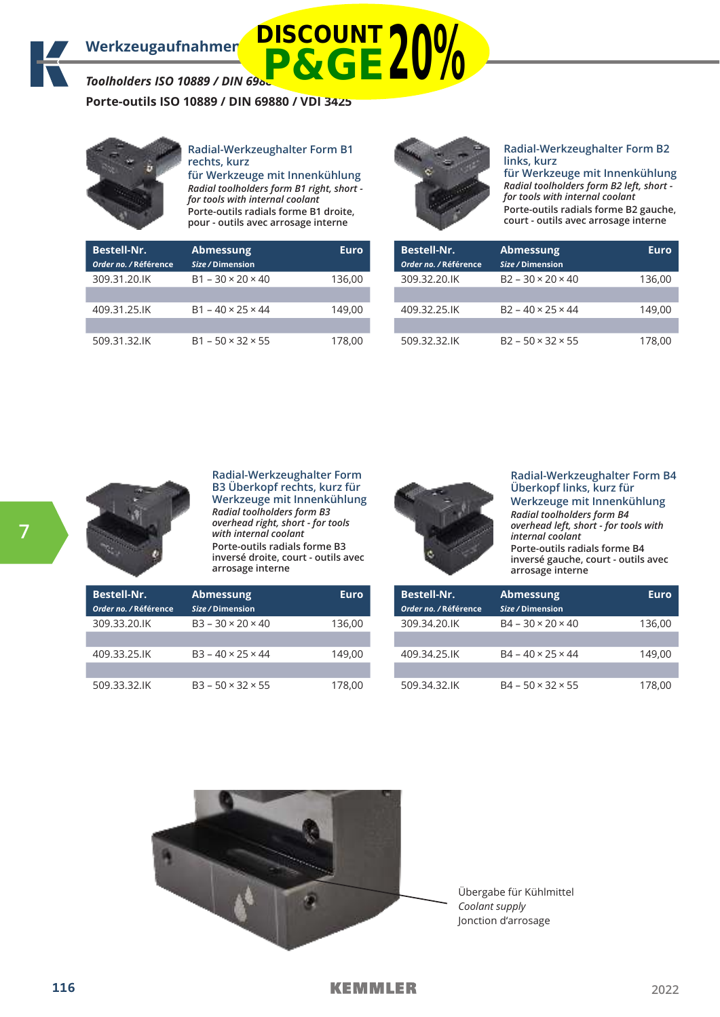**Porte-outils ISO 10889 / DIN 69880 / VDI 3425**



#### **Radial-Werkzeughalter Form B1 rechts, kurz**

**für Werkzeuge mit Innenkühlung** *Radial toolholders form B1 right, short for tools with internal coolant* **Porte-outils radials forme B1 droite, pour - outils avec arrosage interne**

|                                      | pour outris avec arrosage interne    |             |
|--------------------------------------|--------------------------------------|-------------|
| Bestell-Nr.<br>Order no. / Référence | <b>Abmessung</b><br>Size / Dimension | <b>Euro</b> |
| 309.31.20.IK                         | $B1 - 30 \times 20 \times 40$        | 136,00      |
| 409.31.25.IK                         | $B1 - 40 \times 25 \times 44$        | 149,00      |
| 509.31.32.IK                         | $B1 - 50 \times 32 \times 55$        | 178,00      |



#### **Radial-Werkzeughalter Form B2 links, kurz**

**für Werkzeuge mit Innenkühlung** *Radial toolholders form B2 left, short for tools with internal coolant* **Porte-outils radials forme B2 gauche, court - outils avec arrosage interne**

| <b>Bestell-Nr.</b><br>Order no. / Référence | <b>Abmessung</b><br>Size / Dimension | Euro   |
|---------------------------------------------|--------------------------------------|--------|
| 309.32.20.IK                                | $B2 - 30 \times 20 \times 40$        | 136,00 |
| 409.32.25.IK                                | $B2 - 40 \times 25 \times 44$        | 149.00 |
| 509.32.32.IK                                | $B2 - 50 \times 32 \times 55$        | 178,00 |



I

**Radial-Werkzeughalter Form B3 Überkopf rechts, kurz für Werkzeuge mit Innenkühlung** *Radial toolholders form B3 overhead right, short - for tools with internal coolant* **Porte-outils radials forme B3 inversé droite, court - outils avec arrosage interne**



**Radial-Werkzeughalter Form B4 Überkopf links, kurz für Werkzeuge mit Innenkühlung** *Radial toolholders form B4 overhead left, short - for tools with internal coolant* **Porte-outils radials forme B4 inversé gauche, court - outils avec arrosage interne**

| <b>Bestell-Nr.</b><br>Order no. / Référence | <b>Abmessung</b><br>Size / Dimension | Euro   |
|---------------------------------------------|--------------------------------------|--------|
| 309.33.20.IK                                | $B3 - 30 \times 20 \times 40$        | 136.00 |
| 409.33.25.IK                                | $B3 - 40 \times 25 \times 44$        | 149,00 |
| 509.33.32.IK                                | $B3 - 50 \times 32 \times 55$        | 178,00 |

| <b>Bestell-Nr.</b><br>Order no. / Référence | <b>Abmessung</b><br>Size / Dimension | Euro   |
|---------------------------------------------|--------------------------------------|--------|
| 309.34.20.IK                                | $B4 - 30 \times 20 \times 40$        | 136.00 |
| 409.34.25.IK                                | $B4 - 40 \times 25 \times 44$        | 149.00 |
|                                             |                                      |        |
| 509.34.32.IK                                | $B4 - 50 \times 32 \times 55$        | 178.00 |



Übergabe für Kühlmittel *Coolant supply* Jonction d'arrosage

### **KEMMLER**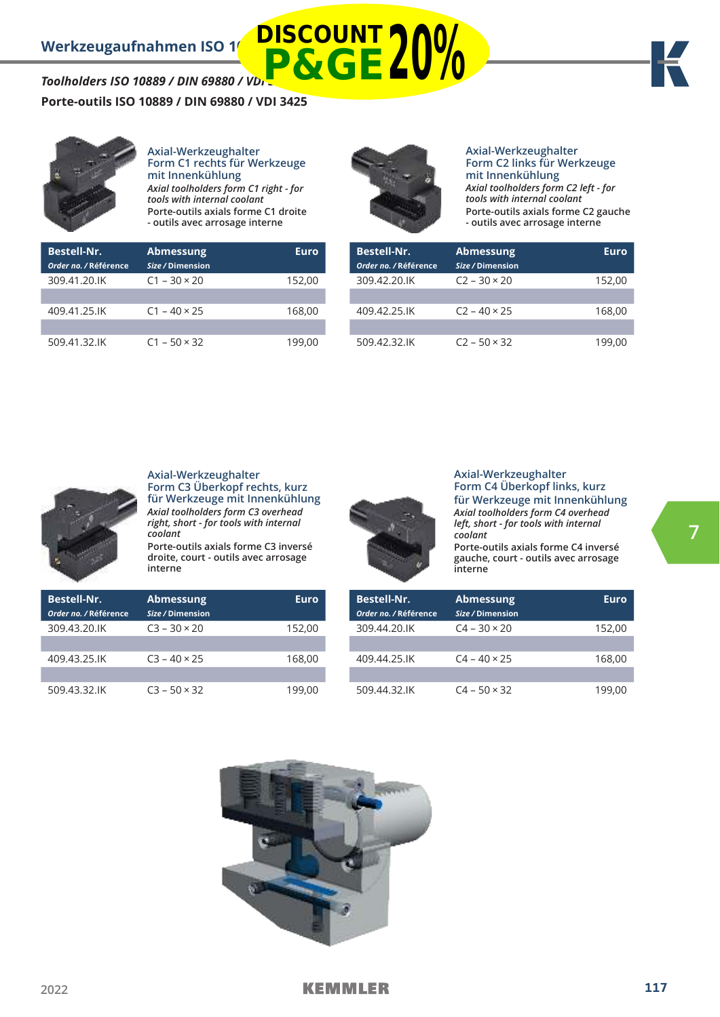**7**

**Porte-outils ISO 10889 / DIN 69880 / VDI 3425**

*Toolholders ISO 10889 / DIN 69880 / VDI 3425*



**Axial-Werkzeughalter Form C1 rechts für Werkzeuge mit Innenkühlung** *Axial toolholders form C1 right - for tools with internal coolant* **Porte-outils axials forme C1 droite - outils avec arrosage interne**



**P&GE20%**

#### **Axial-Werkzeughalter Form C2 links für Werkzeuge mit Innenkühlung** *Axial toolholders form C2 left - for*

*tools with internal coolant* **Porte-outils axials forme C2 gauche - outils avec arrosage interne**

| <b>Bestell-Nr.</b><br>Order no. / Référence | <b>Abmessung</b><br>Size / Dimension | Euro   |
|---------------------------------------------|--------------------------------------|--------|
| 309.41.20.IK                                | $C1 - 30 \times 20$                  | 152,00 |
|                                             |                                      |        |
| 409.41.25.IK                                | $C1 - 40 \times 25$                  | 168,00 |
|                                             |                                      |        |
| 509.41.32.IK                                | $C1 - 50 \times 32$                  | 199.00 |

| <b>Bestell-Nr.</b>    | <b>Abmessung</b>    | Euro   |
|-----------------------|---------------------|--------|
| Order no. / Référence | Size / Dimension    |        |
| 309.42.20.IK          | $C2 - 30 \times 20$ | 152,00 |
|                       |                     |        |
| 409.42.25.IK          | $C2 - 40 \times 25$ | 168,00 |
|                       |                     |        |
| 509.42.32.IK          | $C2 - 50 \times 32$ | 199.00 |



**Axial-Werkzeughalter Form C3 Überkopf rechts, kurz für Werkzeuge mit Innenkühlung** *Axial toolholders form C3 overhead right, short - for tools with internal coolant*

**Porte-outils axials forme C3 inversé droite, court - outils avec arrosage interne**



#### **Axial-Werkzeughalter Form C4 Überkopf links, kurz für Werkzeuge mit Innenkühlung** *Axial toolholders form C4 overhead left, short - for tools with internal coolant* **Porte-outils axials forme C4 inversé**

**gauche, court - outils avec arrosage interne**

| <b>Bestell-Nr.</b><br>Order no. / Référence | <b>Abmessung</b><br>Size / Dimension | Euro   |
|---------------------------------------------|--------------------------------------|--------|
| 309.43.20.IK                                | $C3 - 30 \times 20$                  | 152,00 |
|                                             |                                      |        |
| 409.43.25.IK                                | $C3 - 40 \times 25$                  | 168,00 |
|                                             |                                      |        |
| 509.43.32.IK                                | $C3 - 50 \times 32$                  | 199.00 |

| <b>Bestell-Nr.</b><br>Order no. / Référence | <b>Abmessung</b><br>Size / Dimension | Euro   |
|---------------------------------------------|--------------------------------------|--------|
| 309.44.20.IK                                | $C4 - 30 \times 20$                  | 152,00 |
|                                             |                                      |        |
| 409.44.25.IK                                | $C4 - 40 \times 25$                  | 168,00 |
|                                             |                                      |        |
| 509.44.32.IK                                | $C4 - 50 \times 32$                  | 199.00 |

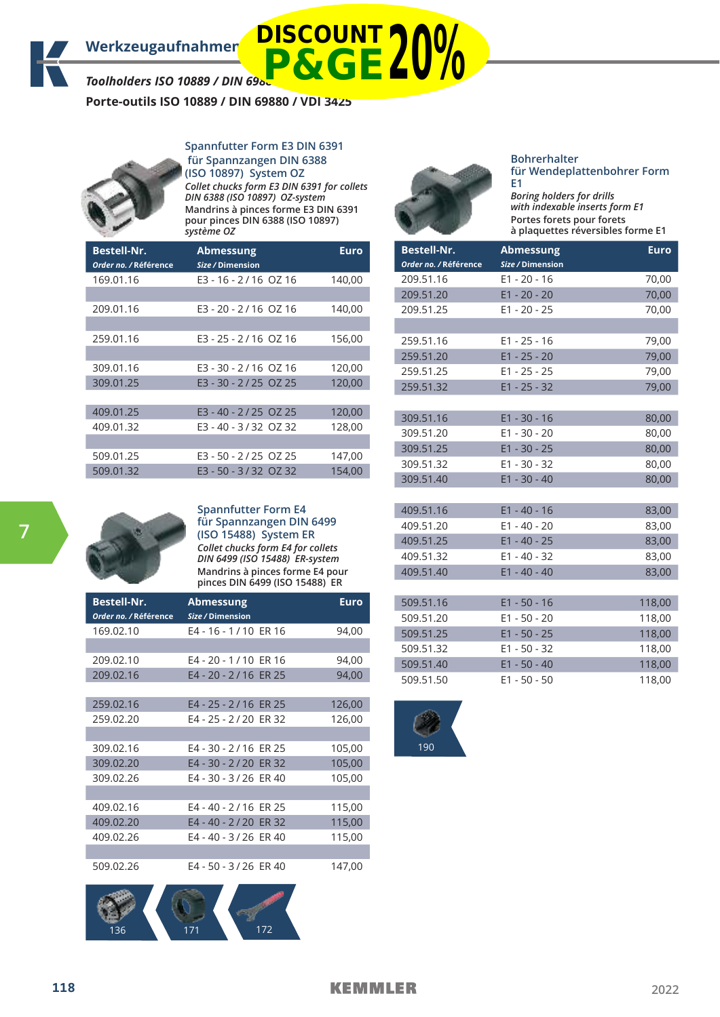**Porte-outils ISO 10889 / DIN 69880 / VDI 3425**

#### **Spannfutter Form E3 DIN 6391 für Spannzangen DIN 6388 (ISO 10897) System OZ**



*Collet chucks form E3 DIN 6391 for collets DIN 6388 (ISO 10897) OZ-system* **Mandrins à pinces forme E3 DIN 6391 pour pinces DIN 6388 (ISO 10897)** *système OZ*

| <b>Bestell-Nr.</b><br>Order no. / Référence | <b>Abmessung</b><br>Size / Dimension | Euro   |
|---------------------------------------------|--------------------------------------|--------|
| 169.01.16                                   | E3 - 16 - 2/16 OZ 16                 | 140,00 |
| 209.01.16                                   | E3 - 20 - 2/16 OZ 16                 | 140,00 |
| 259.01.16                                   | E3 - 25 - 2/16 OZ 16                 | 156,00 |
| 309.01.16                                   | E3 - 30 - 2/16 OZ 16                 | 120,00 |
| 309.01.25                                   | E3 - 30 - 2/25 OZ 25                 | 120,00 |
| 409.01.25                                   | E3 - 40 - 2/25 OZ 25                 | 120,00 |
| 409.01.32                                   | E3 - 40 - 3/32 OZ 32                 | 128,00 |
| 509.01.25                                   | E3 - 50 - 2/25 OZ 25                 | 147,00 |
| 509.01.32                                   | E3 - 50 - 3/32 OZ 32                 | 154,00 |



#### **Bohrerhalter für Wendeplattenbohrer Form E1**

*Boring holders for drills with indexable inserts form E1* **Portes forets pour forets à plaquettes réversibles forme E1**

| <b>Bestell-Nr.</b><br>Order no. / Référence | <b>Abmessung</b><br>Size / Dimension | <b>Euro</b> |
|---------------------------------------------|--------------------------------------|-------------|
| 209.51.16                                   | $E1 - 20 - 16$                       | 70,00       |
| 209.51.20                                   | $E1 - 20 - 20$                       | 70,00       |
| 209.51.25                                   | $E1 - 20 - 25$                       | 70,00       |
|                                             |                                      |             |
| 259.51.16                                   | $E1 - 25 - 16$                       | 79,00       |
| 259.51.20                                   | $E1 - 25 - 20$                       | 79,00       |
| 259.51.25                                   | $E1 - 25 - 25$                       | 79,00       |
| 259.51.32                                   | $E1 - 25 - 32$                       | 79,00       |
|                                             |                                      |             |
| 309.51.16                                   | $E1 - 30 - 16$                       | 80,00       |
| 309.51.20                                   | $E1 - 30 - 20$                       | 80,00       |
| 309.51.25                                   | $E1 - 30 - 25$                       | 80,00       |
| 309.51.32                                   | $E1 - 30 - 32$                       | 80,00       |
| 309.51.40                                   | $E1 - 30 - 40$                       | 80,00       |
|                                             |                                      |             |
| 409.51.16                                   | $E1 - 40 - 16$                       | 83,00       |
| 409.51.20                                   | $E1 - 40 - 20$                       | 83,00       |
| 409.51.25                                   | $E1 - 40 - 25$                       | 83,00       |
| 409.51.32                                   | $E1 - 40 - 32$                       | 83,00       |
| 409.51.40                                   | $E1 - 40 - 40$                       | 83,00       |
|                                             |                                      |             |
| 509.51.16                                   | $E1 - 50 - 16$                       | 118,00      |
| 509.51.20                                   | $E1 - 50 - 20$                       | 118,00      |
| 509.51.25                                   | $E1 - 50 - 25$                       | 118,00      |
| 509.51.32                                   | $E1 - 50 - 32$                       | 118,00      |

509.51.40 E1 - 50 - 40 118,00 509.51.50 E1 - 50 - 50 118,00



#### **Spannfutter Form E4 für Spannzangen DIN 6499 (ISO 15488) System ER** *Collet chucks form E4 for collets*

*DIN 6499 (ISO 15488) ER-system* **Mandrins à pinces forme E4 pour pinces DIN 6499 (ISO 15488) ER**

| <b>Bestell-Nr.</b><br>Order no. / Référence | <b>Abmessung</b><br>Size / Dimension | <b>Euro</b> |
|---------------------------------------------|--------------------------------------|-------------|
| 169.02.10                                   | E4 - 16 - 1/10 ER 16                 | 94,00       |
|                                             |                                      |             |
| 209.02.10                                   | E4 - 20 - 1/10 ER 16                 | 94,00       |
| 209.02.16                                   | E4 - 20 - 2/16 ER 25                 | 94,00       |
|                                             |                                      |             |
| 259.02.16                                   | E4 - 25 - 2/16 ER 25                 | 126,00      |
| 259.02.20                                   | E4 - 25 - 2/20 ER 32                 | 126,00      |
|                                             |                                      |             |
| 309.02.16                                   | E4 - 30 - 2/16 ER 25                 | 105,00      |
| 309.02.20                                   | E4 - 30 - 2/20 ER 32                 | 105,00      |
| 309.02.26                                   | E4 - 30 - 3/26 ER 40                 | 105,00      |
|                                             |                                      |             |
| 409.02.16                                   | E4 - 40 - 2/16 ER 25                 | 115,00      |
| 409.02.20                                   | E4 - 40 - 2/20 ER 32                 | 115,00      |
| 409.02.26                                   | E4 - 40 - 3/26 ER 40                 | 115,00      |
|                                             |                                      |             |
| 509.02.26                                   | E4 - 50 - 3/26 ER 40                 | 147,00      |



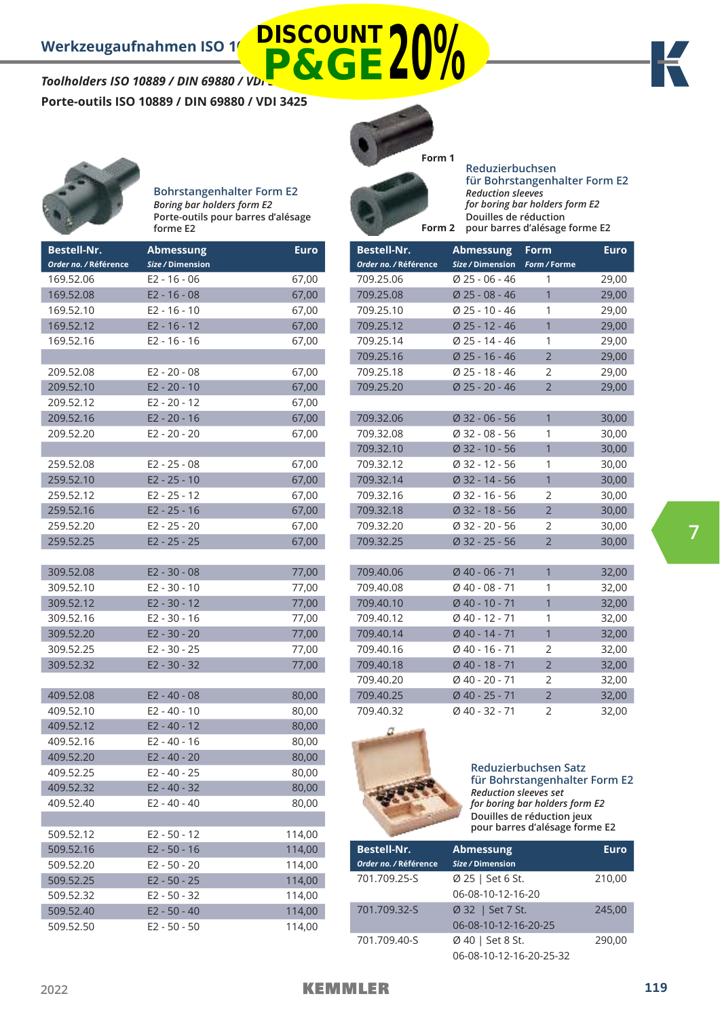# *Toolholders ISO 10889 / DIN 69880 / VDI 3425* **Porte-outils ISO 10889 / DIN 69880 / VDI 3425 P&GE20%**





**Bohrstangenhalter Form E2** *Boring bar holders form E2* **Porte-outils pour barres d'alésage forme E2**

| <b>Bestell-Nr.</b>    | <b>Abmessung</b> | <b>Euro</b> |
|-----------------------|------------------|-------------|
| Order no. / Référence | Size / Dimension |             |
| 169.52.06             | $E2 - 16 - 06$   | 67,00       |
| 169.52.08             | $E2 - 16 - 08$   | 67,00       |
| 169.52.10             | $E2 - 16 - 10$   | 67,00       |
| 169.52.12             | $E2 - 16 - 12$   | 67,00       |
| 169.52.16             | E2 - 16 - 16     | 67,00       |
|                       |                  |             |
| 209.52.08             | $E2 - 20 - 08$   | 67,00       |
| 209.52.10             | $E2 - 20 - 10$   | 67,00       |
| 209.52.12             | E2 - 20 - 12     | 67,00       |
| 209.52.16             | $E2 - 20 - 16$   | 67,00       |
| 209.52.20             | E2 - 20 - 20     | 67,00       |
|                       |                  |             |
| 259.52.08             | E2 - 25 - 08     | 67,00       |
| 259.52.10             | $E2 - 25 - 10$   | 67,00       |
| 259.52.12             | $E2 - 25 - 12$   | 67,00       |
| 259.52.16             | $E2 - 25 - 16$   | 67,00       |
| 259.52.20             | $E2 - 25 - 20$   | 67,00       |
| 259.52.25             | $E2 - 25 - 25$   | 67,00       |
|                       |                  |             |
| 309.52.08             | E2 - 30 - 08     | 77,00       |
| 309.52.10             | $E2 - 30 - 10$   | 77,00       |
| 309.52.12             | $E2 - 30 - 12$   | 77,00       |
| 309.52.16             | E2 - 30 - 16     | 77,00       |
| 309.52.20             | E2 - 30 - 20     | 77,00       |
| 309.52.25             | $E2 - 30 - 25$   | 77,00       |
| 309.52.32             | E2 - 30 - 32     | 77,00       |
|                       |                  |             |
| 409.52.08             | $E2 - 40 - 08$   | 80,00       |
| 409.52.10             | $E2 - 40 - 10$   | 80,00       |
| 409.52.12             | $E2 - 40 - 12$   | 80,00       |
| 409.52.16             | $E2 - 40 - 16$   | 80,00       |
| 409.52.20             | $E2 - 40 - 20$   | 80,00       |
| 409.52.25             | $E2 - 40 - 25$   | 80,00       |
| 409.52.32             | $E2 - 40 - 32$   | 80,00       |
| 409.52.40             | $E2 - 40 - 40$   | 80,00       |
|                       |                  |             |
| 509.52.12             | $E2 - 50 - 12$   | 114,00      |
| 509.52.16             | $E2 - 50 - 16$   | 114,00      |
| 509.52.20             | E2 - 50 - 20     | 114,00      |
| 509.52.25             | $E2 - 50 - 25$   | 114,00      |
| 509.52.32             | E2 - 50 - 32     | 114,00      |
| 509.52.40             | E2 - 50 - 40     | 114,00      |
| 509.52.50             | E2 - 50 - 50     | 114,00      |



**DISCOUNT**

**Reduzierbuchsen für Bohrstangenhalter Form E2** *Reduction sleeves for boring bar holders form E2* **Douilles de réduction Form 2** pour barres d'alésage forme E2

| <b>Bestell-Nr.</b>    | Abmessung        | <b>Form</b>    | <b>Euro</b> |
|-----------------------|------------------|----------------|-------------|
| Order no. / Référence | Size / Dimension | Form / Forme   |             |
| 709.25.06             | $Ø$ 25 - 06 - 46 | 1              | 29,00       |
| 709.25.08             | $Ø$ 25 - 08 - 46 | $\overline{1}$ | 29,00       |
| 709.25.10             | $Ø$ 25 - 10 - 46 | 1              | 29,00       |
| 709.25.12             | $Ø$ 25 - 12 - 46 | 1              | 29,00       |
| 709.25.14             | Ø 25 - 14 - 46   | 1              | 29,00       |
| 709.25.16             | $Ø$ 25 - 16 - 46 | $\overline{2}$ | 29,00       |
| 709.25.18             | Ø 25 - 18 - 46   | 2              | 29,00       |
| 709.25.20             | Ø 25 - 20 - 46   | $\overline{2}$ | 29,00       |
|                       |                  |                |             |
| 709.32.06             | $Ø$ 32 - 06 - 56 | $\mathbf{1}$   | 30,00       |
| 709.32.08             | $Ø$ 32 - 08 - 56 | 1              | 30,00       |
| 709.32.10             | $Ø$ 32 - 10 - 56 | $\mathbf{1}$   | 30,00       |
| 709.32.12             | $Ø$ 32 - 12 - 56 | 1              | 30,00       |
| 709.32.14             | $Ø$ 32 - 14 - 56 | $\overline{1}$ | 30,00       |
| 709.32.16             | $Ø$ 32 - 16 - 56 | 2              | 30,00       |
| 709.32.18             | $Ø$ 32 - 18 - 56 | $\overline{2}$ | 30,00       |
| 709.32.20             | $Ø$ 32 - 20 - 56 | $\overline{2}$ | 30,00       |
| 709.32.25             | $Ø$ 32 - 25 - 56 | $\overline{2}$ | 30,00       |
|                       |                  |                |             |
| 709.40.06             | $Ø$ 40 - 06 - 71 | 1              | 32,00       |
| 709.40.08             | $Ø$ 40 - 08 - 71 | 1              | 32,00       |
| 709.40.10             | $Ø$ 40 - 10 - 71 | $\overline{1}$ | 32,00       |
| 709.40.12             | Ø 40 - 12 - 71   | 1              | 32,00       |
| 709.40.14             | Ø 40 - 14 - 71   | 1              | 32,00       |
| 709.40.16             | $Ø$ 40 - 16 - 71 | $\overline{2}$ | 32,00       |
| 709.40.18             | Ø 40 - 18 - 71   | $\overline{2}$ | 32,00       |
| 709.40.20             | $Ø$ 40 - 20 - 71 | $\overline{2}$ | 32,00       |
| 709.40.25             | Ø 40 - 25 - 71   | $\overline{2}$ | 32,00       |
| 709.40.32             | Ø 40 - 32 - 71   | 2              | 32,00       |



#### **Reduzierbuchsen Satz für Bohrstangenhalter Form E2** *Reduction sleeves set for boring bar holders form E2*

**Douilles de réduction jeux pour barres d'alésage forme E2**

| <b>Bestell-Nr.</b>    | <b>Abmessung</b>        | <b>Euro</b> |
|-----------------------|-------------------------|-------------|
| Order no. / Référence | Size / Dimension        |             |
| 701.709.25-S          | Ø 25   Set 6 St.        | 210,00      |
|                       | 06-08-10-12-16-20       |             |
| 701.709.32-S          | Ø 32   Set 7 St.        | 245,00      |
|                       | 06-08-10-12-16-20-25    |             |
| 701.709.40-S          | Ø 40   Set 8 St.        | 290.00      |
|                       | 06-08-10-12-16-20-25-32 |             |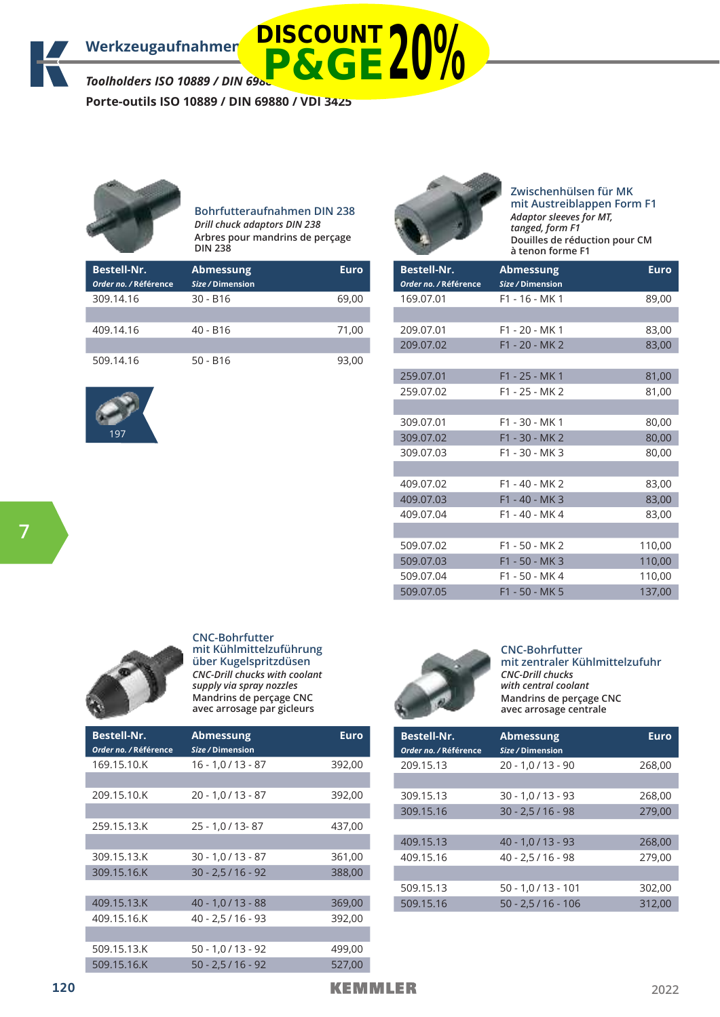**Porte-outils ISO 10889 / DIN 69880 / VDI 3425**



#### **Bohrfutteraufnahmen DIN 238** *Drill chuck adaptors DIN 238* **Arbres pour mandrins de perçage DIN 238**

| <b>Bestell-Nr.</b><br>Order no. / Référence | <b>Abmessung</b><br>Size / Dimension | Euro  |
|---------------------------------------------|--------------------------------------|-------|
| 309.14.16                                   | $30 - B16$                           | 69,00 |
|                                             |                                      |       |
| 409.14.16                                   | $40 - B16$                           | 71,00 |
|                                             |                                      |       |
| 509.14.16                                   | $50 - B16$                           | 93.00 |





**Zwischenhülsen für MK mit Austreiblappen Form F1**  *Adaptor sleeves for MT, tanged, form F1* **Douilles de réduction pour CM à tenon forme F1**

| <b>Bestell-Nr.</b><br>Order no. / Référence | <b>Abmessung</b><br>Size / Dimension | <b>Euro</b> |
|---------------------------------------------|--------------------------------------|-------------|
| 169.07.01                                   | $F1 - 16 - MK1$                      | 89,00       |
|                                             |                                      |             |
| 209.07.01                                   | $F1 - 20 - MK1$                      | 83,00       |
| 209.07.02                                   | $F1 - 20 - MK2$                      | 83,00       |
|                                             |                                      |             |
| 259.07.01                                   | F1 - 25 - MK 1                       | 81,00       |
| 259.07.02                                   | F1 - 25 - MK 2                       | 81,00       |
|                                             |                                      |             |
| 309.07.01                                   | F1 - 30 - MK 1                       | 80,00       |
| 309.07.02                                   | F1 - 30 - MK 2                       | 80,00       |
| 309.07.03                                   | F1 - 30 - MK 3                       | 80,00       |
|                                             |                                      |             |
| 409.07.02                                   | F1 - 40 - MK 2                       | 83,00       |
| 409.07.03                                   | F1 - 40 - MK 3                       | 83,00       |
| 409.07.04                                   | F1 - 40 - MK 4                       | 83,00       |
|                                             |                                      |             |
| 509.07.02                                   | F1 - 50 - MK 2                       | 110,00      |
| 509.07.03                                   | F1 - 50 - MK 3                       | 110,00      |
| 509.07.04                                   | F1 - 50 - MK 4                       | 110,00      |
| 509.07.05                                   | F1 - 50 - MK 5                       | 137,00      |



**CNC-Bohrfutter mit Kühlmittelzuführung über Kugelspritzdüsen** *CNC-Drill chucks with coolant supply via spray nozzles* **Mandrins de perçage CNC avec arrosage par gicleurs**

| <b>Bestell-Nr.</b><br>Order no. / Référence | <b>Abmessung</b><br>Size / Dimension | <b>Euro</b> |
|---------------------------------------------|--------------------------------------|-------------|
| 169.15.10.K                                 | $16 - 1,0/13 - 87$                   | 392,00      |
|                                             |                                      |             |
| 209.15.10.K                                 | $20 - 1,0/13 - 87$                   | 392,00      |
|                                             |                                      |             |
| 259.15.13.K                                 | 25 - 1,0 / 13 - 87                   | 437,00      |
|                                             |                                      |             |
| 309.15.13.K                                 | $30 - 1,0/13 - 87$                   | 361,00      |
| 309.15.16.K                                 | $30 - 2,5 / 16 - 92$                 | 388,00      |
|                                             |                                      |             |
| 409.15.13.K                                 | $40 - 1, 0 / 13 - 88$                | 369,00      |
| 409.15.16.K                                 | $40 - 2,5 / 16 - 93$                 | 392,00      |
|                                             |                                      |             |
| 509.15.13.K                                 | $50 - 1,0/13 - 92$                   | 499,00      |
| 509.15.16.K                                 | $50 - 2, 5 / 16 - 92$                | 527,00      |



#### **CNC-Bohrfutter mit zentraler Kühlmittelzufuhr** *CNC-Drill chucks with central coolant* **Mandrins de perçage CNC avec arrosage centrale**

| <b>Bestell-Nr.</b><br>Order no. / Référence | <b>Abmessung</b><br>Size / Dimension | Euro   |
|---------------------------------------------|--------------------------------------|--------|
| 209.15.13                                   | $20 - 1, 0 / 13 - 90$                | 268,00 |
|                                             |                                      |        |
| 309.15.13                                   | $30 - 1,0/13 - 93$                   | 268,00 |
| 309.15.16                                   | $30 - 2,5 / 16 - 98$                 | 279,00 |
|                                             |                                      |        |
| 409.15.13                                   | $40 - 1, 0 / 13 - 93$                | 268,00 |
| 409.15.16                                   | $40 - 2,5 / 16 - 98$                 | 279,00 |
|                                             |                                      |        |
| 509.15.13                                   | 50 - 1,0 / 13 - 101                  | 302,00 |
| 509.15.16                                   | $50 - 2.5 / 16 - 106$                | 312.00 |

**7**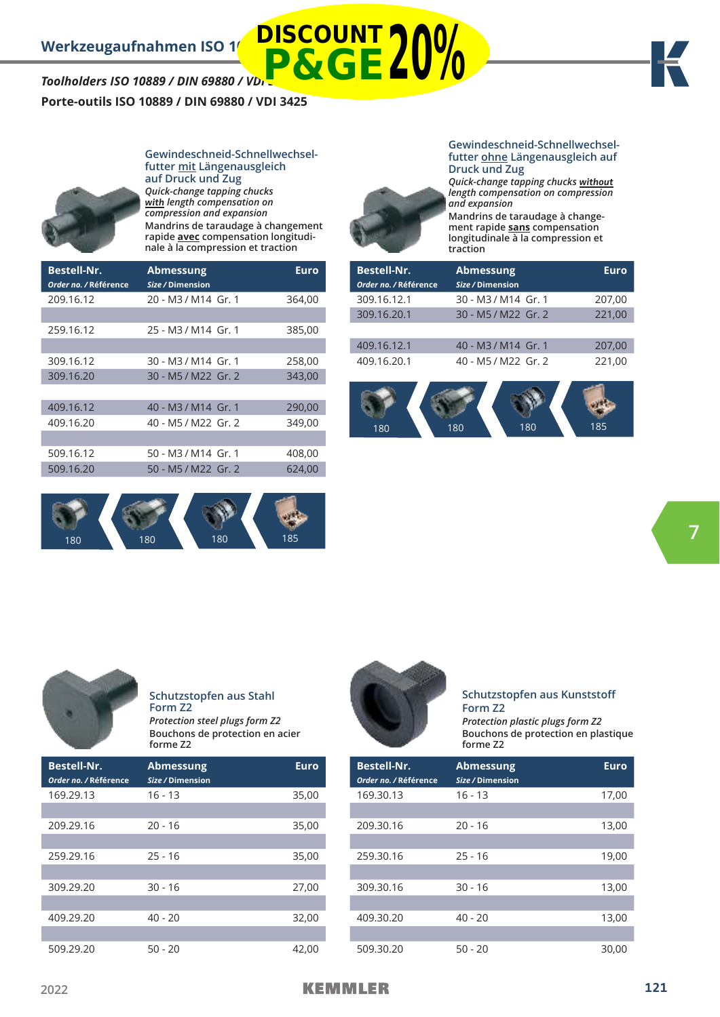## **Porte-outils ISO 10889 / DIN 69880 / VDI 3425**



**futter mit Längenausgleich auf Druck und Zug** *Quick-change tapping chucks*  **with** *length compensation on compression and expansion* **Mandrins de taraudage à changement rapide avec compensation longitudinale à la compression et traction**

**Gewindeschneid-Schnellwechsel-**

| <b>Bestell-Nr.</b><br>Order no. / Référence | <b>Abmessung</b><br>Size / Dimension | Euro   |
|---------------------------------------------|--------------------------------------|--------|
| 209.16.12                                   | 20 - M3 / M14 Gr. 1                  | 364,00 |
|                                             |                                      |        |
| 259.16.12                                   | 25 - M3 / M14 Gr. 1                  | 385,00 |
|                                             |                                      |        |
| 309.16.12                                   | 30 - M3 / M14 Gr. 1                  | 258,00 |
| 309.16.20                                   | 30 - M5 / M22 Gr. 2                  | 343,00 |
|                                             |                                      |        |
| 409.16.12                                   | 40 - M3 / M14 Gr. 1                  | 290,00 |
| 409.16.20                                   | 40 - M5 / M22 Gr. 2                  | 349.00 |
|                                             |                                      |        |
| 509.16.12                                   | 50 - M3 / M14 Gr. 1                  | 408,00 |
| 509.16.20                                   | 50 - M5 / M22 Gr. 2                  | 624,00 |
|                                             |                                      |        |



**Gewindeschneid-Schnellwechselfutter ohne Längenausgleich auf Druck und Zug**



*Quick-change tapping chucks* **without** *length compensation on compression and expansion* **Mandrins de taraudage à change-**

**ment rapide sans compensation longitudinale à la compression et traction**

| <b>Bestell-Nr.</b><br>Order no. / Référence | <b>Abmessung</b><br>Size / Dimension | <b>Euro</b> |
|---------------------------------------------|--------------------------------------|-------------|
| 309.16.12.1                                 | 30 - M3 / M14 Gr. 1                  | 207,00      |
| 309.16.20.1                                 | 30 - M5 / M22 Gr. 2                  | 221,00      |
|                                             |                                      |             |
| 409.16.12.1                                 | 40 - M3/M14 Gr. 1                    | 207,00      |
| 409.16.20.1                                 | 40 - M5 / M22 Gr. 2                  | 221,00      |
|                                             |                                      |             |
|                                             |                                      |             |

180 180 180 185



**Schutzstopfen aus Stahl Form Z2** *Protection steel plugs form Z2* **Bouchons de protection en acier forme Z2**

| <b>Bestell-Nr.</b><br>Order no. / Référence | <b>Abmessung</b><br>Size / Dimension | <b>Euro</b> |
|---------------------------------------------|--------------------------------------|-------------|
| 169.29.13                                   | $16 - 13$                            | 35,00       |
|                                             |                                      |             |
| 209.29.16                                   | $20 - 16$                            | 35,00       |
|                                             |                                      |             |
| 259.29.16                                   | $25 - 16$                            | 35,00       |
|                                             |                                      |             |
| 309.29.20                                   | $30 - 16$                            | 27,00       |
|                                             |                                      |             |
| 409.29.20                                   | $40 - 20$                            | 32,00       |
|                                             |                                      |             |
| 509.29.20                                   | $50 - 20$                            | 42,00       |



#### **Schutzstopfen aus Kunststoff Form Z2**

*Protection plastic plugs form Z2* **Bouchons de protection en plastique forme Z2**

| <b>Bestell-Nr.</b><br>Order no. / Référence | <b>Abmessung</b><br>Size / Dimension | <b>Euro</b> |
|---------------------------------------------|--------------------------------------|-------------|
| 169.30.13                                   | $16 - 13$                            | 17,00       |
|                                             |                                      |             |
| 209.30.16                                   | $20 - 16$                            | 13,00       |
|                                             |                                      |             |
| 259.30.16                                   | $25 - 16$                            | 19,00       |
|                                             |                                      |             |
| 309.30.16                                   | $30 - 16$                            | 13,00       |
|                                             |                                      |             |
| 409.30.20                                   | $40 - 20$                            | 13,00       |
|                                             |                                      |             |
| 509.30.20                                   | $50 - 20$                            | 30,00       |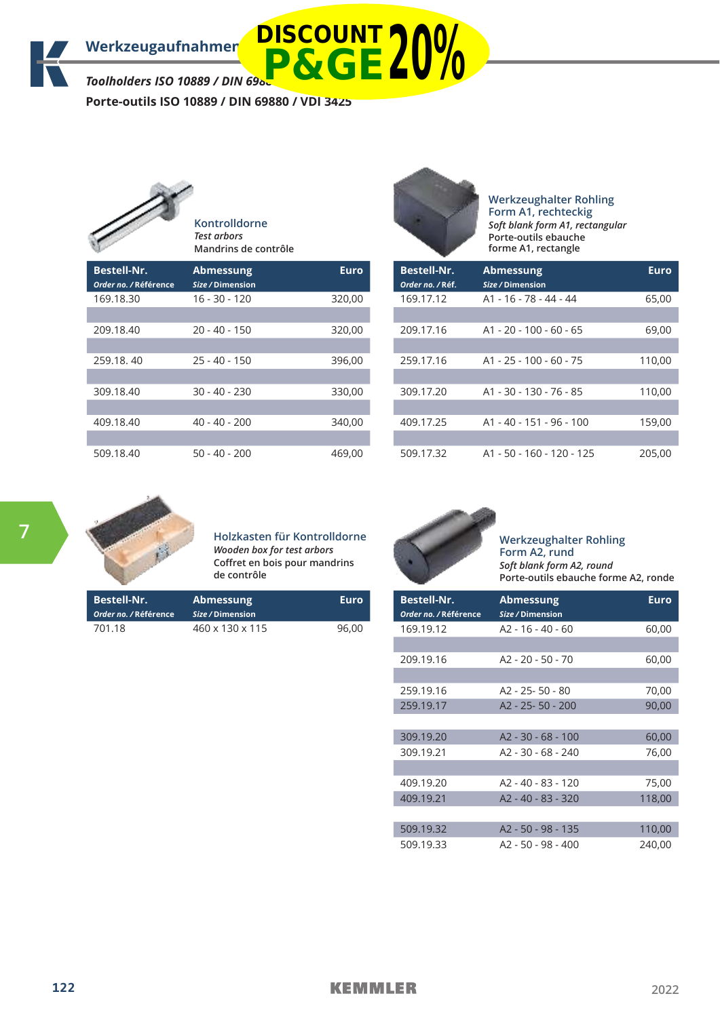**Porte-outils ISO 10889 / DIN 69880 / VDI 3425**

|                                             | Kontrolldorne<br>Test arbors<br>Mandrins de contrôle |             |
|---------------------------------------------|------------------------------------------------------|-------------|
| <b>Bestell-Nr.</b><br>Order no. / Référence | <b>Abmessung</b><br>Size / Dimension                 | <b>Euro</b> |
| 169.18.30                                   | 16 - 30 - 120                                        | 320,00      |
| 209.18.40                                   | $20 - 40 - 150$                                      | 320,00      |
| 259.18, 40                                  | $25 - 40 - 150$                                      | 396,00      |
| 309.18.40                                   | $30 - 40 - 230$                                      | 330,00      |
| 409.18.40                                   | 40 - 40 - 200                                        | 340,00      |
| 509.18.40                                   | 50 - 40 - 200                                        | 469,00      |



**Werkzeughalter Rohling Form A1, rechteckig** *Soft blank form A1, rectangular* **Porte-outils ebauche forme A1, rectangle**

| <b>Bestell-Nr.</b><br>Order no. / Réf. | <b>Abmessung</b><br>Size / Dimension | Euro   |
|----------------------------------------|--------------------------------------|--------|
| 169.17.12                              | A1 - 16 - 78 - 44 - 44               | 65,00  |
|                                        |                                      |        |
| 209.17.16                              | $A1 - 20 - 100 - 60 - 65$            | 69,00  |
|                                        |                                      |        |
| 259.17.16                              | $A1 - 25 - 100 - 60 - 75$            | 110,00 |
|                                        |                                      |        |
| 309.17.20                              | A1 - 30 - 130 - 76 - 85              | 110,00 |
|                                        |                                      |        |
| 409.17.25                              | A1 - 40 - 151 - 96 - 100             | 159,00 |
|                                        |                                      |        |
| 509.17.32                              | A1 - 50 - 160 - 120 - 125            | 205,00 |



**Holzkasten für Kontrolldorne** *Wooden box for test arbors* **Coffret en bois pour mandrins de contrôle**

| Bestell-Nr.<br>Order no. / Référence | <b>Abmessung</b><br>Size / Dimension | Euro  |
|--------------------------------------|--------------------------------------|-------|
| 701.18                               | $460 \times 130 \times 115$          | 96.00 |



**Werkzeughalter Rohling Form A2, rund** *Soft blank form A2, round* **Porte-outils ebauche forme A2, ronde**

| <b>Bestell-Nr.</b><br>Order no. / Référence | <b>Abmessung</b><br>Size / Dimension | Euro   |
|---------------------------------------------|--------------------------------------|--------|
| 169.19.12                                   | $A2 - 16 - 40 - 60$                  | 60,00  |
|                                             |                                      |        |
| 209.19.16                                   | A2 - 20 - 50 - 70                    | 60,00  |
|                                             |                                      |        |
| 259.19.16                                   | $A2 - 25 - 50 - 80$                  | 70,00  |
| 259.19.17                                   | A2 - 25 - 50 - 200                   | 90,00  |
|                                             |                                      |        |
| 309.19.20                                   | $A2 - 30 - 68 - 100$                 | 60,00  |
| 309.19.21                                   | $A2 - 30 - 68 - 240$                 | 76,00  |
|                                             |                                      |        |
| 409.19.20                                   | A2 - 40 - 83 - 120                   | 75,00  |
| 409.19.21                                   | A2 - 40 - 83 - 320                   | 118,00 |
|                                             |                                      |        |
| 509.19.32                                   | A2 - 50 - 98 - 135                   | 110,00 |
| 509.19.33                                   | A2 - 50 - 98 - 400                   | 240,00 |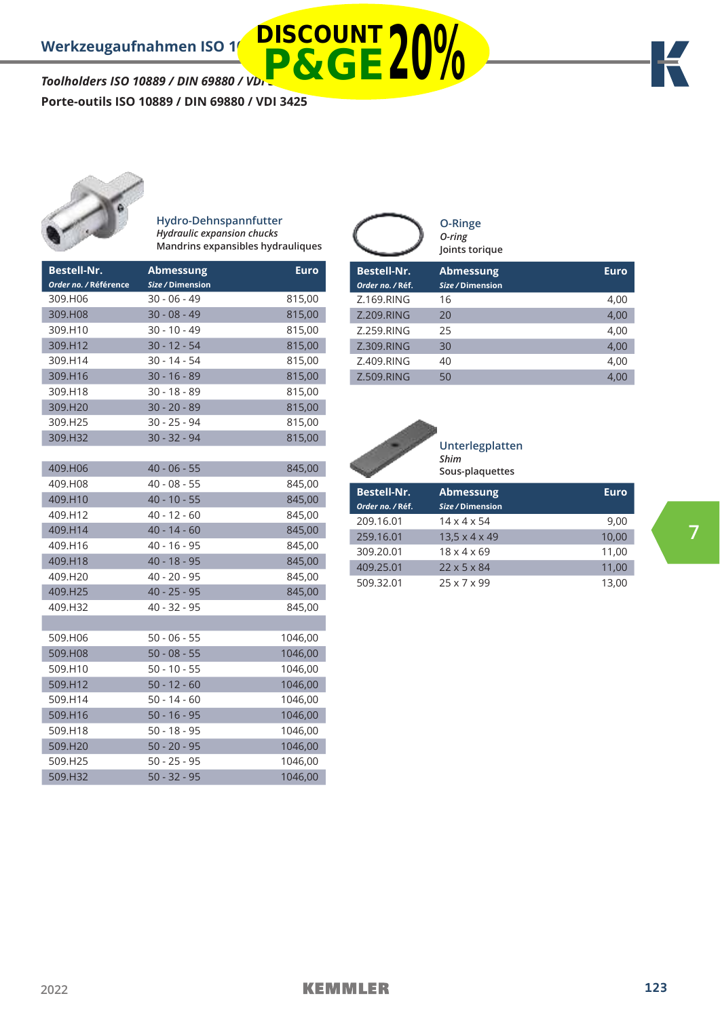**Porte-outils ISO 10889 / DIN 69880 / VDI 3425**



#### **Hydro-Dehnspannfutter** *Hydraulic expansion chucks* **Mandrins expansibles hydrauliques**

**DISCOUNT**

| <b>Bestell-Nr.</b><br>Order no. / Référence | <b>Abmessung</b><br>Size / Dimension | <b>Euro</b> |
|---------------------------------------------|--------------------------------------|-------------|
| 309.H06                                     | $30 - 06 - 49$                       | 815,00      |
| 309.H08                                     | $30 - 08 - 49$                       | 815,00      |
| 309.H10                                     | 30 - 10 - 49                         | 815,00      |
| 309.H12                                     | $30 - 12 - 54$                       | 815,00      |
| 309.H14                                     | $30 - 14 - 54$                       | 815,00      |
| 309.H16                                     | $30 - 16 - 89$                       | 815,00      |
| 309.H18                                     | $30 - 18 - 89$                       | 815,00      |
| 309.H20                                     | $30 - 20 - 89$                       | 815,00      |
| 309.H25                                     | 30 - 25 - 94                         | 815,00      |
| 309.H32                                     | $30 - 32 - 94$                       | 815,00      |
|                                             |                                      |             |
| 409.H06                                     | $40 - 06 - 55$                       | 845,00      |
| 409.H08                                     | 40 - 08 - 55                         | 845,00      |
| 409.H10                                     | $40 - 10 - 55$                       | 845,00      |
| 409.H12                                     | $40 - 12 - 60$                       | 845,00      |
| 409.H14                                     | $40 - 14 - 60$                       | 845,00      |
| 409.H16                                     | $40 - 16 - 95$                       | 845,00      |
| 409.H18                                     | $40 - 18 - 95$                       | 845,00      |
| 409.H20                                     | 40 - 20 - 95                         | 845,00      |
| 409.H25                                     | $40 - 25 - 95$                       | 845,00      |
| 409.H32                                     | 40 - 32 - 95                         | 845,00      |
|                                             |                                      |             |
| 509.H06                                     | 50 - 06 - 55                         | 1046,00     |
| 509.H08                                     | $50 - 08 - 55$                       | 1046,00     |
| 509.H10                                     | $50 - 10 - 55$                       | 1046,00     |
| 509.H12                                     | $50 - 12 - 60$                       | 1046,00     |
| 509.H14                                     | $50 - 14 - 60$                       | 1046,00     |
| 509.H16                                     | $50 - 16 - 95$                       | 1046,00     |
| 509.H18                                     | $50 - 18 - 95$                       | 1046,00     |
| 509.H20                                     | $50 - 20 - 95$                       | 1046,00     |
| 509.H25                                     | $50 - 25 - 95$                       | 1046,00     |
| 509.H32                                     | $50 - 32 - 95$                       | 1046,00     |

|                    | <b>O-Ringe</b><br>O-ring<br>Joints torique |             |
|--------------------|--------------------------------------------|-------------|
| <b>Bestell-Nr.</b> | <b>Abmessung</b>                           | <b>Euro</b> |
| Order no. / Réf.   | Size / Dimension                           |             |
| Z.169.RING         | 16                                         | 4,00        |
| Z.209.RING         | 20                                         | 4,00        |
| Z.259.RING         | 25                                         | 4,00        |
| Z.309, RING        | 30                                         | 4,00        |
| Z.409.RING         | 40                                         | 4,00        |
| Z.509, RING        | 50                                         | 4.00        |



**Unterlegplatten** *Shim* **Sous-plaquettes**

| <b>Bestell-Nr.</b><br>Order no. / Réf. | <b>Abmessung</b><br>Size / Dimension | Euro  |
|----------------------------------------|--------------------------------------|-------|
| 209.16.01                              | $14 \times 4 \times 54$              | 9,00  |
| 259.16.01                              | $13.5 \times 4 \times 49$            | 10,00 |
| 309.20.01                              | $18 \times 4 \times 69$              | 11,00 |
| 409.25.01                              | $22 \times 5 \times 84$              | 11,00 |
| 509.32.01                              | $25 \times 7 \times 99$              | 13.00 |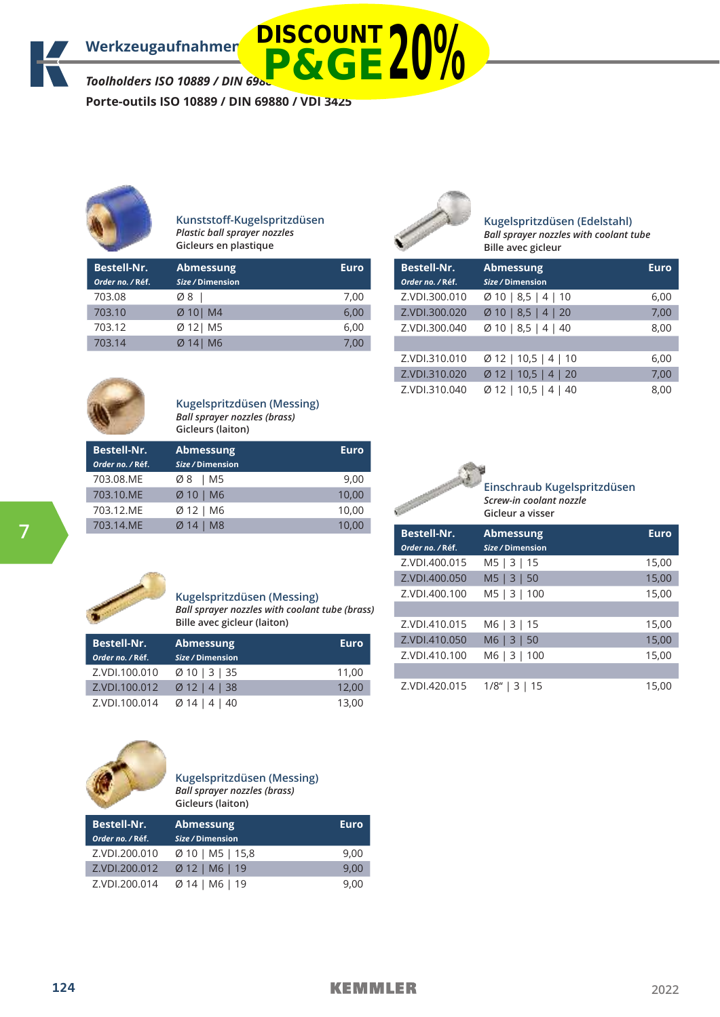**Porte-outils ISO 10889 / DIN 69880 / VDI 3425**



#### **Kunststoff-Kugelspritzdüsen** *Plastic ball sprayer nozzles* **Gicleurs en plastique**

| <b>Bestell-Nr.</b> | <b>Abmessung</b>      | <b>Euro</b> |
|--------------------|-----------------------|-------------|
| Order no. / Réf.   | Size / Dimension      |             |
| 703.08             | Ø8                    | 7.00        |
| 703.10             | $Ø 10$ M4             | 6,00        |
| 703.12             | $\varnothing$ 12   M5 | 6,00        |
| 703.14             | Ø 141 M6              | 7.00        |



### **Kugelspritzdüsen (Edelstahl)**

*Ball sprayer nozzles with coolant tube*  **Bille avec gicleur** 

| Bestell-Nr.<br>Order no. / Réf. | <b>Abmessung</b><br>Size / Dimension | Euro |
|---------------------------------|--------------------------------------|------|
| Z.VDI.300.010                   | $\emptyset$ 10   8,5   4   10        | 6,00 |
| Z.VDI.300.020                   | $\varnothing$ 10   8,5   4   20      | 7,00 |
| Z.VDI.300.040                   | $\varnothing$ 10   8,5   4   40      | 8,00 |
|                                 |                                      |      |
| Z.VDI.310.010                   | $\emptyset$ 12   10,5   4   10       | 6,00 |
| Z.VDI.310.020                   | $\varnothing$ 12   10,5   4   20     | 7,00 |
| Z.VDI.310.040                   | $\varnothing$ 12   10,5   4   40     | 8,00 |



#### **Kugelspritzdüsen (Messing)** *Ball sprayer nozzles (brass)* **Gicleurs (laiton)**

| <b>Bestell-Nr.</b><br>Order no. / Réf. | <b>Abmessung</b><br>Size / Dimension | Euro  |
|----------------------------------------|--------------------------------------|-------|
| 703.08.ME                              | Ø8   M5                              | 9,00  |
| 703.10.ME                              | $Ø10$   M6                           | 10,00 |
| 703.12.ME                              | Ø 12   M6                            | 10,00 |
| 703.14.MF                              | Ø 14 I M8                            | 10,00 |



#### **Kugelspritzdüsen (Messing)** *Ball sprayer nozzles with coolant tube (brass)* **Bille avec gicleur (laiton)**

| <b>Bestell-Nr.</b> | <b>Abmessung</b>          | <b>Euro</b> |
|--------------------|---------------------------|-------------|
| Order no. / Réf.   | Size / Dimension          |             |
| Z.VDI.100.010      | Ø10   3   35              | 11.00       |
| Z.VDI.100.012      | $Ø12$   4   38            | 12.00       |
| Z.VDI.100.014      | $\varnothing$ 14   4   40 | 13,00       |



#### **Kugelspritzdüsen (Messing)** *Ball sprayer nozzles (brass)* **Gicleurs (laiton)**

| <b>Bestell-Nr.</b><br>Order no. / Réf. | <b>Abmessung</b><br>Size / Dimension | <b>Euro</b> |
|----------------------------------------|--------------------------------------|-------------|
| Z.VDI.200.010                          | $\varnothing$ 10   M5   15,8         | 9.00        |
| Z.VDI.200.012                          | $Ø$ 12   M6   19                     | 9.00        |
| Z.VDI.200.014                          | $Ø14$   M6   19                      | 9.00        |





| <b>Bestell-Nr.</b><br>Order no. / Réf. | <b>Abmessung</b><br>Size / Dimension | <b>Euro</b> |
|----------------------------------------|--------------------------------------|-------------|
| Z.VDI.400.015                          | M5   3   15                          | 15,00       |
| Z.VDI.400.050                          | $M5 \mid 3 \mid 50$                  | 15,00       |
| Z.VDI.400.100                          | M5   3   100                         | 15,00       |
|                                        |                                      |             |
| Z.VDI.410.015                          | M6   3   15                          | 15,00       |
| Z.VDI.410.050                          | M6   3   50                          | 15,00       |
| Z.VDI.410.100                          | M6   3   100                         | 15,00       |
|                                        |                                      |             |
| Z.VDI.420.015                          | $1/8$ "   3   15                     | 15,00       |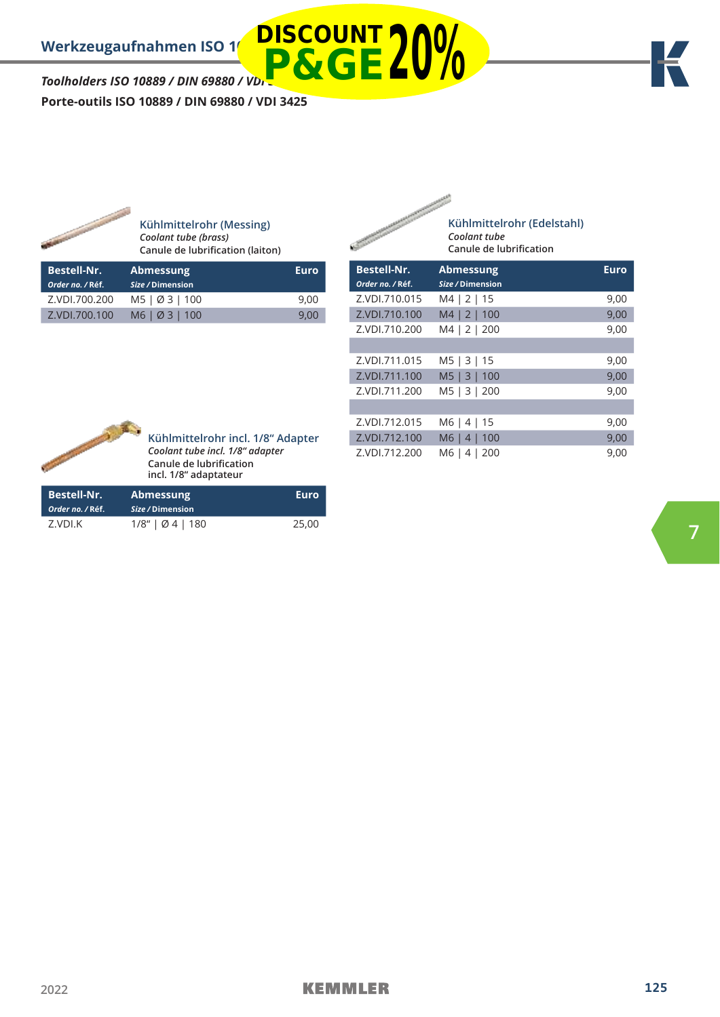*Toolholders ISO 10889 / DIN 69880 / VDI 3425* **Porte-outils ISO 10889 / DIN 69880 / VDI 3425 P&GE20%**



**Kühlmittelrohr (Messing)** *Coolant tube (brass)* **Canule de lubrification (laiton)**

**DISCOUNT**

| <b>Bestell-Nr.</b><br>Order no. / Réf. | <b>Abmessung</b><br>Size / Dimension | Euro |
|----------------------------------------|--------------------------------------|------|
| Z.VDI.700.200                          | M5   Ø 3   100                       | 9.00 |
| Z.VDI.700.100                          | M6   Ø 3   100                       | 9.00 |

| <b>CONTRACTOR</b>                      | Kühlmittelrohr (Edelstahl)<br>Coolant tube<br>Canule de lubrification |             |
|----------------------------------------|-----------------------------------------------------------------------|-------------|
| <b>Bestell-Nr.</b><br>Order no. / Réf. | <b>Abmessung</b><br>Size / Dimension                                  | <b>Euro</b> |
| Z.VDI.710.015                          | M4   2   15                                                           | 9,00        |
| Z.VDI.710.100                          | M4   2   100                                                          | 9,00        |
| Z.VDI.710.200                          | M4   2   200                                                          | 9,00        |
|                                        |                                                                       |             |
| Z.VDI.711.015                          | M5   3   15                                                           | 9,00        |
| Z.VDI.711.100                          | M5   3   100                                                          | 9,00        |
| Z.VDI.711.200                          | M5   3  <br>200                                                       | 9,00        |
|                                        |                                                                       |             |
| Z.VDI.712.015                          | M6 I<br>15<br>4                                                       | 9,00        |
| Z.VDI.712.100                          | M6<br>100<br>4                                                        | 9,00        |
| Z.VDI.712.200                          | M6<br>4<br>200                                                        | 9,00        |



**Kühlmittelrohr incl. 1/8" Adapter** *Coolant tube incl. 1/8" adapter* **Canule de lubrification incl. 1/8" adaptateur**

| <b>Bestell-Nr.</b><br>Order no. / Réf. | <b>Abmessung</b><br>Size / Dimension | Euro  |
|----------------------------------------|--------------------------------------|-------|
| Z.VDI.K                                | 1/8"   04   180                      | 25.00 |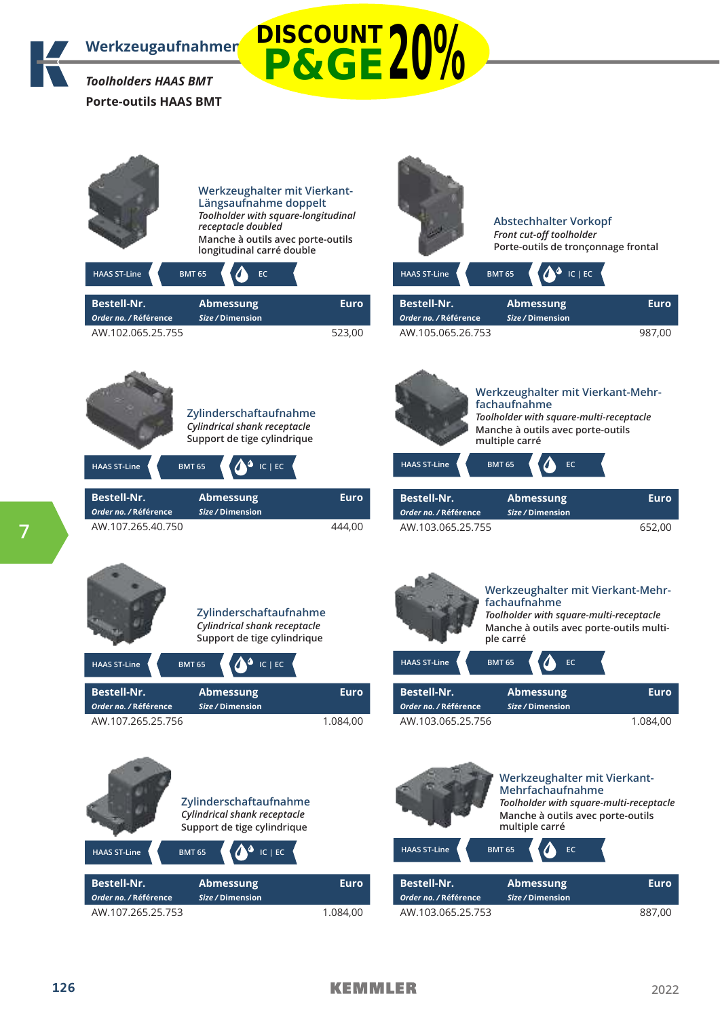

**DISCOUNT P&GE20%**

| <b>HAAS ST-Line</b>                         | Werkzeughalter mit Vierkant-<br>Längsaufnahme doppelt<br>Toolholder with square-longitudinal<br>receptacle doubled<br>Manche à outils avec porte-outils<br>longitudinal carré double<br><b>BMT 65</b><br>EC. |             | <b>HAAS ST-Line</b>                         | <b>Abstechhalter Vorkopf</b><br>Front cut-off toolholder<br>Porte-outils de tronçonnage frontal<br>$IC$   EC<br><b>BMT 65</b>                                                |             |
|---------------------------------------------|--------------------------------------------------------------------------------------------------------------------------------------------------------------------------------------------------------------|-------------|---------------------------------------------|------------------------------------------------------------------------------------------------------------------------------------------------------------------------------|-------------|
| <b>Bestell-Nr.</b>                          | <b>Abmessung</b>                                                                                                                                                                                             | <b>Euro</b> | <b>Bestell-Nr.</b>                          | <b>Abmessung</b>                                                                                                                                                             | <b>Euro</b> |
| Order no. / Référence<br>AW.102.065.25.755  | Size / Dimension                                                                                                                                                                                             | 523,00      | Order no. / Référence<br>AW.105.065.26.753  | Size / Dimension                                                                                                                                                             | 987,00      |
| <b>HAAS ST-Line</b>                         | Zylinderschaftaufnahme<br>Cylindrical shank receptacle<br>Support de tige cylindrique<br>$IC$   $EC$<br><b>BMT 65</b>                                                                                        |             | <b>HAAS ST-Line</b>                         | Werkzeughalter mit Vierkant-Mehr-<br>fachaufnahme<br>Toolholder with square-multi-receptacle<br>Manche à outils avec porte-outils<br>multiple carré<br><b>BMT 65</b><br>EC   |             |
| <b>Bestell-Nr.</b><br>Order no. / Référence | <b>Abmessung</b><br>Size / Dimension                                                                                                                                                                         | <b>Euro</b> | <b>Bestell-Nr.</b><br>Order no. / Référence | <b>Abmessung</b><br>Size / Dimension                                                                                                                                         | <b>Euro</b> |
| AW.107.265.40.750                           |                                                                                                                                                                                                              | 444,00      | AW.103.065.25.755                           |                                                                                                                                                                              | 652,00      |
| <b>HAAS ST-Line</b>                         | Zylinderschaftaufnahme<br>Cylindrical shank receptacle<br>Support de tige cylindrique<br>$IC$   $EC$<br><b>BMT 65</b>                                                                                        |             | <b>HAAS ST-Line</b>                         | Werkzeughalter mit Vierkant-Mehr-<br>fachaufnahme<br>Toolholder with square-multi-receptacle<br>Manche à outils avec porte-outils multi-<br>ple carré<br><b>BMT 65</b><br>EC |             |
| <b>Bestell-Nr.</b>                          | <b>Abmessung</b>                                                                                                                                                                                             | <b>Euro</b> | <b>Bestell-Nr.</b>                          | <b>Abmessung</b>                                                                                                                                                             | Euro        |
| Order no. / Référence<br>AW.107.265.25.756  | Size / Dimension                                                                                                                                                                                             | 1.084,00    | Order no. / Référence<br>AW.103.065.25.756  | Size / Dimension                                                                                                                                                             | 1.084,00    |
|                                             |                                                                                                                                                                                                              |             |                                             |                                                                                                                                                                              |             |





AW.103.065.25.753 887,00

*Order no. /* **Référence** *Size /* **Dimension**

**7**